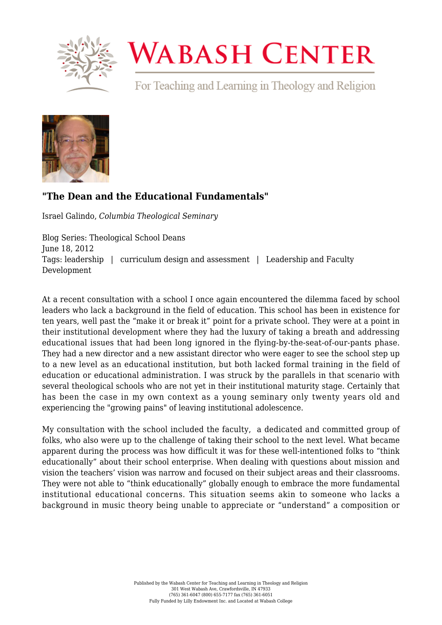

## **WABASH CENTER**

For Teaching and Learning in Theology and Religion



## **["The Dean and the Educational Fundamentals"](https://www.wabashcenter.wabash.edu/2012/06/the-dean-and-the-educational-fundamentals/)**

Israel Galindo, *Columbia Theological Seminary*

Blog Series: Theological School Deans June 18, 2012 Tags: leadership | curriculum design and assessment | Leadership and Faculty Development

At a recent consultation with a school I once again encountered the dilemma faced by school leaders who lack a background in the field of education. This school has been in existence for ten years, well past the "make it or break it" point for a private school. They were at a point in their institutional development where they had the luxury of taking a breath and addressing educational issues that had been long ignored in the flying-by-the-seat-of-our-pants phase. They had a new director and a new assistant director who were eager to see the school step up to a new level as an educational institution, but both lacked formal training in the field of education or educational administration. I was struck by the parallels in that scenario with several theological schools who are not yet in their institutional maturity stage. Certainly that has been the case in my own context as a young seminary only twenty years old and experiencing the "growing pains" of leaving institutional adolescence.

My consultation with the school included the faculty, a dedicated and committed group of folks, who also were up to the challenge of taking their school to the next level. What became apparent during the process was how difficult it was for these well-intentioned folks to "think educationally" about their school enterprise. When dealing with questions about mission and vision the teachers' vision was narrow and focused on their subject areas and their classrooms. They were not able to "think educationally" globally enough to embrace the more fundamental institutional educational concerns. This situation seems akin to someone who lacks a background in music theory being unable to appreciate or "understand" a composition or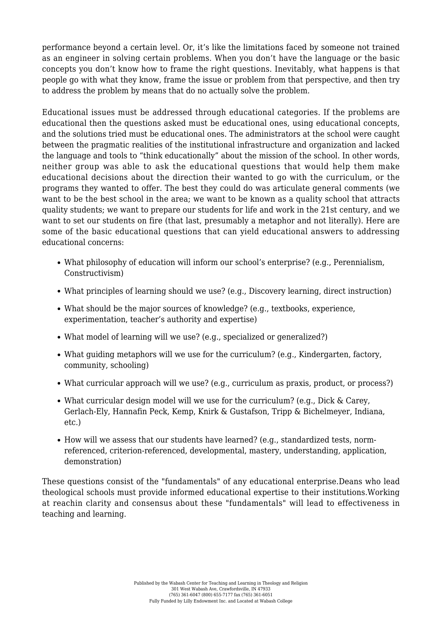performance beyond a certain level. Or, it's like the limitations faced by someone not trained as an engineer in solving certain problems. When you don't have the language or the basic concepts you don't know how to frame the right questions. Inevitably, what happens is that people go with what they know, frame the issue or problem from that perspective, and then try to address the problem by means that do no actually solve the problem.

Educational issues must be addressed through educational categories. If the problems are educational then the questions asked must be educational ones, using educational concepts, and the solutions tried must be educational ones. The administrators at the school were caught between the pragmatic realities of the institutional infrastructure and organization and lacked the language and tools to "think educationally" about the mission of the school. In other words, neither group was able to ask the educational questions that would help them make educational decisions about the direction their wanted to go with the curriculum, or the programs they wanted to offer. The best they could do was articulate general comments (we want to be the best school in the area; we want to be known as a quality school that attracts quality students; we want to prepare our students for life and work in the 21st century, and we want to set our students on fire (that last, presumably a metaphor and not literally). Here are some of the basic educational questions that can yield educational answers to addressing educational concerns:

- What philosophy of education will inform our school's enterprise? (e.g., Perennialism, Constructivism)
- What principles of learning should we use? (e.g., Discovery learning, direct instruction)
- What should be the major sources of knowledge? (e.g., textbooks, experience, experimentation, teacher's authority and expertise)
- What model of learning will we use? (e.g., specialized or generalized?)
- What guiding metaphors will we use for the curriculum? (e.g., Kindergarten, factory, community, schooling)
- What curricular approach will we use? (e.g., curriculum as praxis, product, or process?)
- What curricular design model will we use for the curriculum? (e.g., Dick & Carey, Gerlach-Ely, Hannafin Peck, Kemp, Knirk & Gustafson, Tripp & Bichelmeyer, Indiana, etc.)
- How will we assess that our students have learned? (e.g., standardized tests, normreferenced, criterion-referenced, developmental, mastery, understanding, application, demonstration)

These questions consist of the "fundamentals" of any educational enterprise.Deans who lead theological schools must provide informed educational expertise to their institutions.Working at reachin clarity and consensus about these "fundamentals" will lead to effectiveness in teaching and learning.